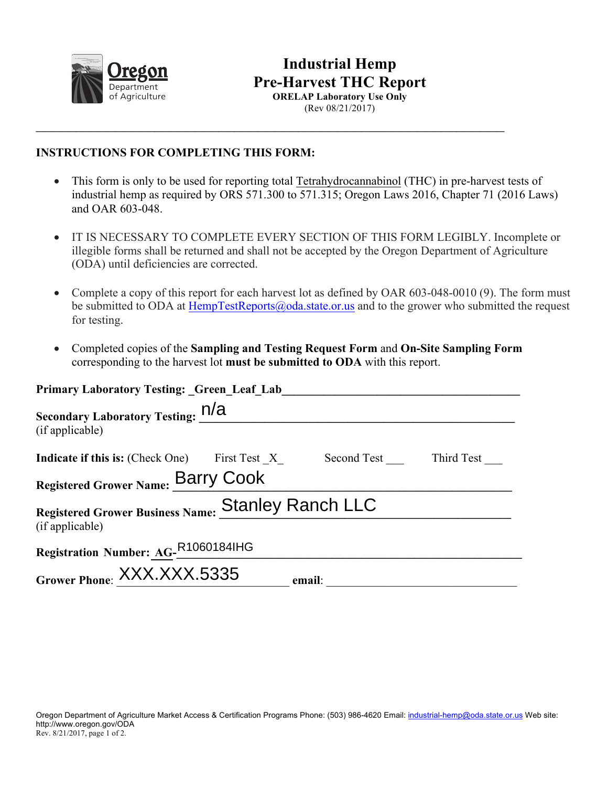

## **Industrial Hemp Pre-Harvest THC Report ORELAP Laboratory Use Only**

(Rev 08/21/2017)

## **INSTRUCTIONS FOR COMPLETING THIS FORM:**

• This form is only to be used for reporting total Tetrahydrocannabinol (THC) in pre-harvest tests of industrial hemp as required by ORS 571.300 to 571.315; Oregon Laws 2016, Chapter 71 (2016 Laws) and OAR 603-048.

 $\_$ 

- IT IS NECESSARY TO COMPLETE EVERY SECTION OF THIS FORM LEGIBLY. Incomplete or illegible forms shall be returned and shall not be accepted by the Oregon Department of Agriculture (ODA) until deficiencies are corrected.
- Complete a copy of this report for each harvest lot as defined by OAR 603-048-0010 (9). The form must be submitted to ODA at HempTestReports@oda.state.or.us and to the grower who submitted the request for testing.
- Completed copies of the **Sampling and Testing Request Form** and **On-Site Sampling Form** corresponding to the harvest lot **must be submitted to ODA** with this report.

| <b>Primary Laboratory Testing: Green Leaf Lab</b>                           |  |        |  |  |
|-----------------------------------------------------------------------------|--|--------|--|--|
| Secondary Laboratory Testing: N/A<br>(if applicable)                        |  |        |  |  |
| <b>Indicate if this is:</b> (Check One) First Test X Second Test Third Test |  |        |  |  |
| Registered Grower Name: Barry Cook                                          |  |        |  |  |
| Registered Grower Business Name: Stanley Ranch LLC<br>(if applicable)       |  |        |  |  |
| Registration Number: AG-R1060184lHG                                         |  |        |  |  |
| Grower Phone: XXX.XXX.5335                                                  |  | email: |  |  |